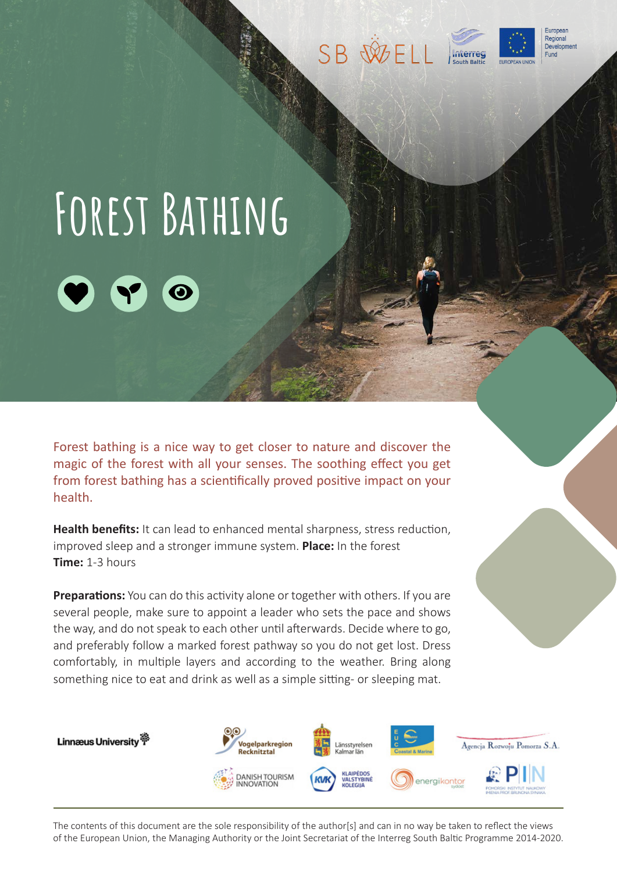





## **Forest Bathing**

Forest bathing is a nice way to get closer to nature and discover the magic of the forest with all your senses. The soothing effect you get from forest bathing has a scientifically proved positive impact on your health.

**Health benefits:** It can lead to enhanced mental sharpness, stress reduction, improved sleep and a stronger immune system. **Place:** In the forest **Time:** 1-3 hours

**Preparations:** You can do this activity alone or together with others. If you are several people, make sure to appoint a leader who sets the pace and shows the way, and do not speak to each other until afterwards. Decide where to go, and preferably follow a marked forest pathway so you do not get lost. Dress comfortably, in multiple layers and according to the weather. Bring along something nice to eat and drink as well as a simple sitting- or sleeping mat.



The contents of this document are the sole responsibility of the author[s] and can in no way be taken to reflect the views of the European Union, the Managing Authority or the Joint Secretariat of the Interreg South Baltic Programme 2014-2020.